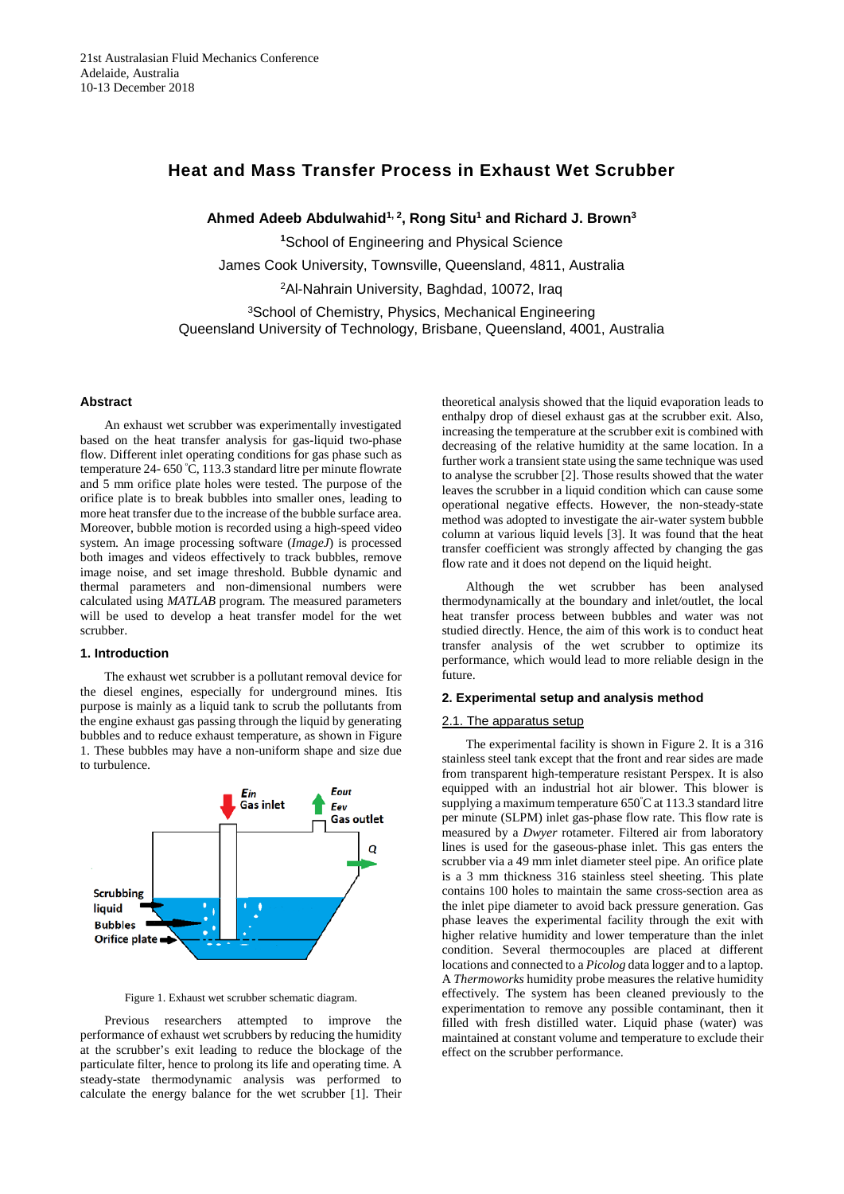# **Heat and Mass Transfer Process in Exhaust Wet Scrubber**

Ahmed Adeeb Abdulwahid<sup>1, 2</sup>, Rong Situ<sup>1</sup> and Richard J. Brown<sup>3</sup>

**<sup>1</sup>**School of Engineering and Physical Science

James Cook University, Townsville, Queensland, 4811, Australia

2Al-Nahrain University, Baghdad, 10072, Iraq

3School of Chemistry, Physics, Mechanical Engineering Queensland University of Technology, Brisbane, Queensland, 4001, Australia

#### **Abstract**

An exhaust wet scrubber was experimentally investigated based on the heat transfer analysis for gas-liquid two-phase flow. Different inlet operating conditions for gas phase such as temperature 24- 650 º C, 113.3 standard litre per minute flowrate and 5 mm orifice plate holes were tested. The purpose of the orifice plate is to break bubbles into smaller ones, leading to more heat transfer due to the increase of the bubble surface area. Moreover, bubble motion is recorded using a high-speed video system. An image processing software (*ImageJ*) is processed both images and videos effectively to track bubbles, remove image noise, and set image threshold. Bubble dynamic and thermal parameters and non-dimensional numbers were calculated using *MATLAB* program. The measured parameters will be used to develop a heat transfer model for the wet scrubber.

#### **1. Introduction**

The exhaust wet scrubber is a pollutant removal device for the diesel engines, especially for underground mines. Itis purpose is mainly as a liquid tank to scrub the pollutants from the engine exhaust gas passing through the liquid by generating bubbles and to reduce exhaust temperature, as shown in Figure 1. These bubbles may have a non-uniform shape and size due to turbulence.



Figure 1. Exhaust wet scrubber schematic diagram.

Previous researchers attempted to improve the performance of exhaust wet scrubbers by reducing the humidity at the scrubber's exit leading to reduce the blockage of the particulate filter, hence to prolong its life and operating time. A steady-state thermodynamic analysis was performed to calculate the energy balance for the wet scrubber [1]. Their theoretical analysis showed that the liquid evaporation leads to enthalpy drop of diesel exhaust gas at the scrubber exit. Also, increasing the temperature at the scrubber exit is combined with decreasing of the relative humidity at the same location. In a further work a transient state using the same technique was used to analyse the scrubber [2]. Those results showed that the water leaves the scrubber in a liquid condition which can cause some operational negative effects. However, the non-steady-state method was adopted to investigate the air-water system bubble column at various liquid levels [3]. It was found that the heat transfer coefficient was strongly affected by changing the gas flow rate and it does not depend on the liquid height.

Although the wet scrubber has been analysed thermodynamically at the boundary and inlet/outlet, the local heat transfer process between bubbles and water was not studied directly. Hence, the aim of this work is to conduct heat transfer analysis of the wet scrubber to optimize its performance, which would lead to more reliable design in the future.

#### **2. Experimental setup and analysis method**

## 2.1. The apparatus setup

The experimental facility is shown in Figure 2. It is a 316 stainless steel tank except that the front and rear sides are made from transparent high-temperature resistant Perspex. It is also equipped with an industrial hot air blower. This blower is supplying a maximum temperature 650º C at 113.3 standard litre per minute (SLPM) inlet gas-phase flow rate. This flow rate is measured by a *Dwyer* rotameter. Filtered air from laboratory lines is used for the gaseous-phase inlet. This gas enters the scrubber via a 49 mm inlet diameter steel pipe. An orifice plate is a 3 mm thickness 316 stainless steel sheeting. This plate contains 100 holes to maintain the same cross-section area as the inlet pipe diameter to avoid back pressure generation. Gas phase leaves the experimental facility through the exit with higher relative humidity and lower temperature than the inlet condition. Several thermocouples are placed at different locations and connected to a *Picolog* data logger and to a laptop. A *Thermoworks* humidity probe measures the relative humidity effectively. The system has been cleaned previously to the experimentation to remove any possible contaminant, then it filled with fresh distilled water. Liquid phase (water) was maintained at constant volume and temperature to exclude their effect on the scrubber performance.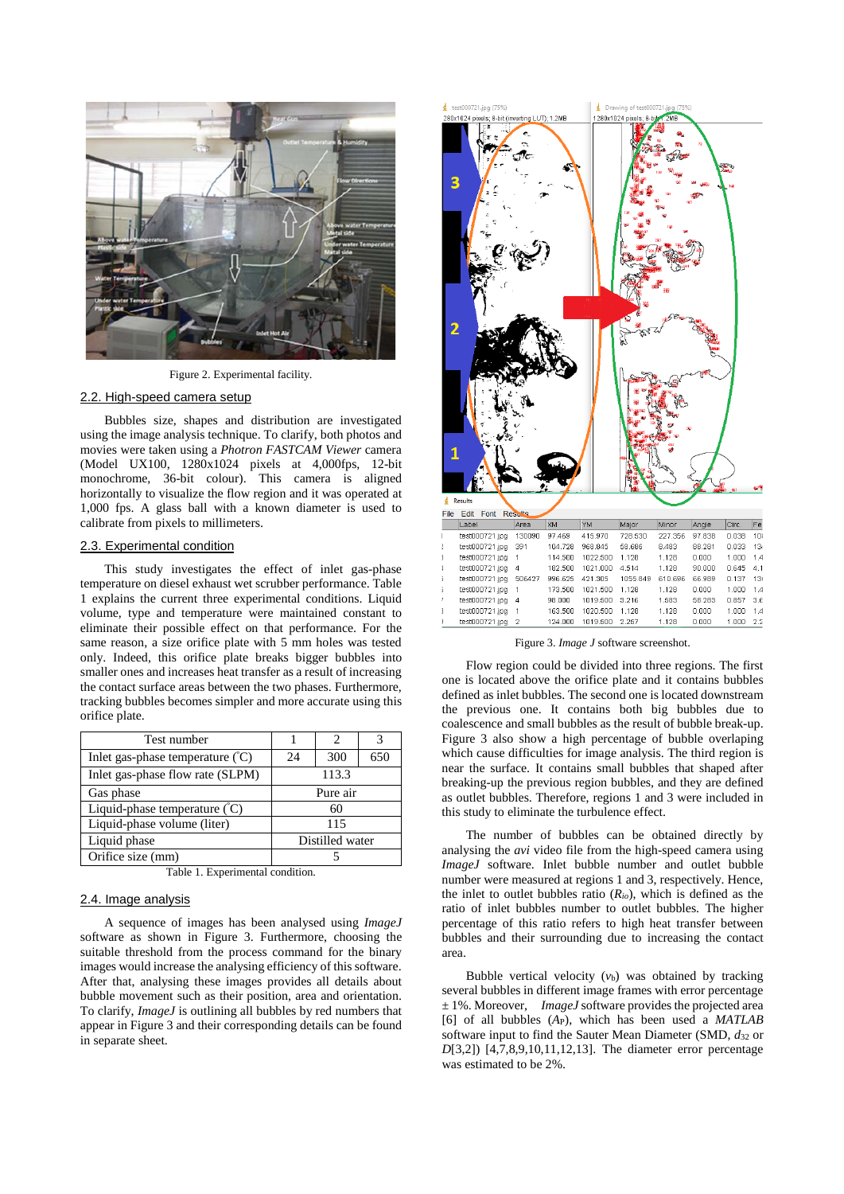

Figure 2. Experimental facility.

## 2.2. High-speed camera setup

Bubbles size, shapes and distribution are investigated using the image analysis technique. To clarify, both photos and movies were taken using a *Photron FASTCAM Viewer* camera (Model UX100, 1280x1024 pixels at 4,000fps, 12-bit monochrome, 36-bit colour). This camera is aligned horizontally to visualize the flow region and it was operated at 1,000 fps. A glass ball with a known diameter is used to calibrate from pixels to millimeters.

#### 2.3. Experimental condition

This study investigates the effect of inlet gas-phase temperature on diesel exhaust wet scrubber performance. Table 1 explains the current three experimental conditions. Liquid volume, type and temperature were maintained constant to eliminate their possible effect on that performance. For the same reason, a size orifice plate with 5 mm holes was tested only. Indeed, this orifice plate breaks bigger bubbles into smaller ones and increases heat transfer as a result of increasing the contact surface areas between the two phases. Furthermore, tracking bubbles becomes simpler and more accurate using this orifice plate.

| Test number                                 |                 | $\mathfrak{D}$ | 3   |
|---------------------------------------------|-----------------|----------------|-----|
| Inlet gas-phase temperature $({}^{\circ}C)$ | 24              | 300            | 650 |
| Inlet gas-phase flow rate (SLPM)            | 113.3           |                |     |
| Gas phase                                   | Pure air        |                |     |
| Liquid-phase temperature (°C)               | 60              |                |     |
| Liquid-phase volume (liter)                 | 115             |                |     |
| Liquid phase                                | Distilled water |                |     |
| Orifice size (mm)                           |                 |                |     |

Table 1. Experimental condition.

#### 2.4. Image analysis

A sequence of images has been analysed using *ImageJ* software as shown in Figure 3. Furthermore, choosing the suitable threshold from the process command for the binary images would increase the analysing efficiency of this software. After that, analysing these images provides all details about bubble movement such as their position, area and orientation. To clarify, *ImageJ* is outlining all bubbles by red numbers that appear in Figure 3 and their corresponding details can be found in separate sheet.



Figure 3. *Image J* software screenshot.

Flow region could be divided into three regions. The first one is located above the orifice plate and it contains bubbles defined as inlet bubbles. The second one is located downstream the previous one. It contains both big bubbles due to coalescence and small bubbles as the result of bubble break-up. Figure 3 also show a high percentage of bubble overlaping which cause difficulties for image analysis. The third region is near the surface. It contains small bubbles that shaped after breaking-up the previous region bubbles, and they are defined as outlet bubbles. Therefore, regions 1 and 3 were included in this study to eliminate the turbulence effect.

The number of bubbles can be obtained directly by analysing the *avi* video file from the high-speed camera using *ImageJ* software. Inlet bubble number and outlet bubble number were measured at regions 1 and 3, respectively. Hence, the inlet to outlet bubbles ratio (*Rio*), which is defined as the ratio of inlet bubbles number to outlet bubbles. The higher percentage of this ratio refers to high heat transfer between bubbles and their surrounding due to increasing the contact area.

Bubble vertical velocity (*v*b) was obtained by tracking several bubbles in different image frames with error percentage ± 1%. Moreover, *ImageJ* software provides the projected area [6] of all bubbles (*A*P), which has been used a *MATLAB* software input to find the Sauter Mean Diameter (SMD,  $d_{32}$  or *D*[3,2]) [4,7,8,9,10,11,12,13]. The diameter error percentage was estimated to be 2%.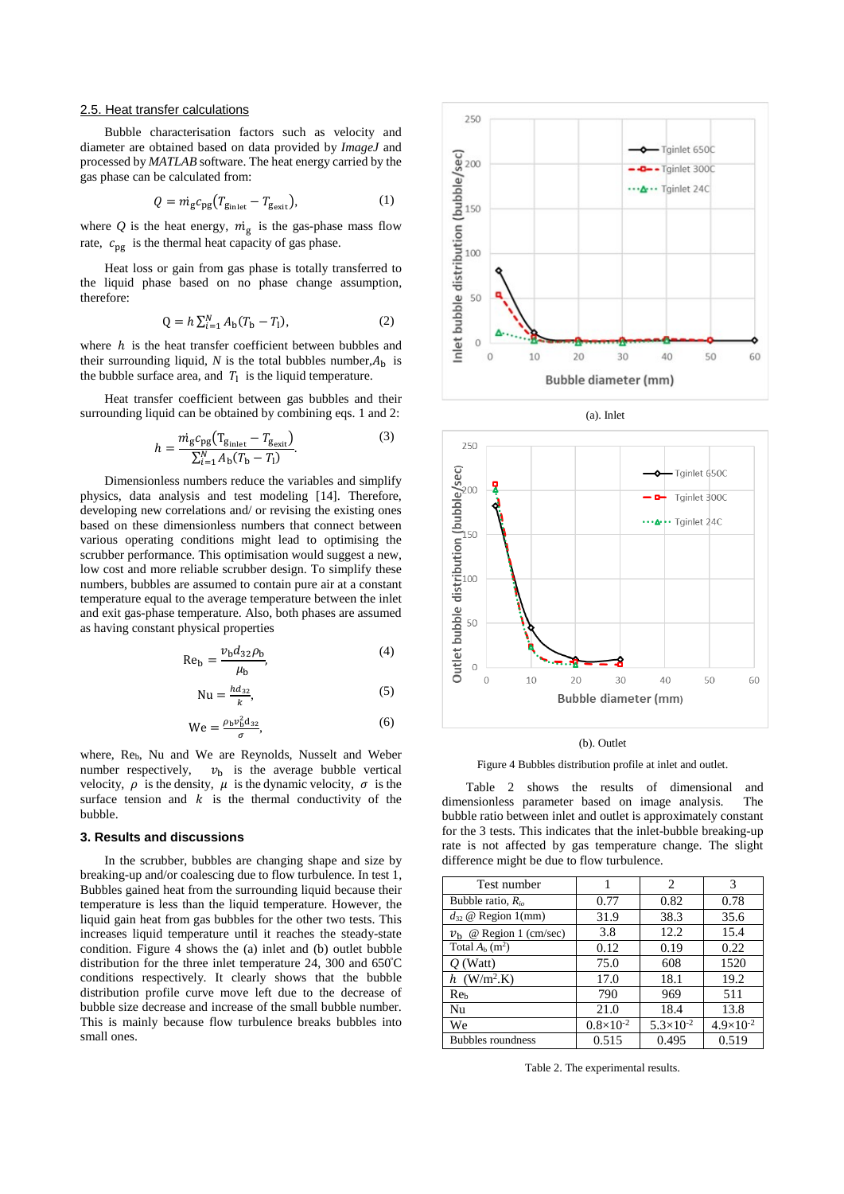#### 2.5. Heat transfer calculations

Bubble characterisation factors such as velocity and diameter are obtained based on data provided by *ImageJ* and processed by *MATLAB* software. The heat energy carried by the gas phase can be calculated from:

$$
Q = m_{\rm g} c_{\rm pg} (T_{\rm Binlet} - T_{\rm g_{\rm exit}}), \tag{1}
$$

where  $Q$  is the heat energy,  $\dot{m}_g$  is the gas-phase mass flow rate,  $c_{pg}$  is the thermal heat capacity of gas phase.

Heat loss or gain from gas phase is totally transferred to the liquid phase based on no phase change assumption, therefore:

$$
Q = h \sum_{i=1}^{N} A_{b} (T_{b} - T_{l}), \qquad (2)
$$

where  $h$  is the heat transfer coefficient between bubbles and their surrounding liquid, *N* is the total bubbles number, $A_h$  is the bubble surface area, and  $T_1$  is the liquid temperature.

Heat transfer coefficient between gas bubbles and their surrounding liquid can be obtained by combining eqs. 1 and 2:

$$
h = \frac{m_{\rm g}c_{\rm pg} (T_{\rm Binlet} - T_{\rm gexit})}{\sum_{i=1}^{N} A_{\rm b} (T_{\rm b} - T_{\rm l})}.
$$
 (3)

Dimensionless numbers reduce the variables and simplify physics, data analysis and test modeling [14]. Therefore, developing new correlations and/ or revising the existing ones based on these dimensionless numbers that connect between various operating conditions might lead to optimising the scrubber performance. This optimisation would suggest a new, low cost and more reliable scrubber design. To simplify these numbers, bubbles are assumed to contain pure air at a constant temperature equal to the average temperature between the inlet and exit gas-phase temperature. Also, both phases are assumed as having constant physical properties

$$
\text{Re}_{\text{b}} = \frac{v_{\text{b}}d_{32}\rho_{\text{b}}}{\mu_{\text{b}}},\tag{4}
$$

$$
Nu = \frac{hd_{32}}{k},\tag{5}
$$

$$
We = \frac{\rho_b v_b^2 d_{32}}{\sigma},\tag{6}
$$

where, Reb, Nu and We are Reynolds, Nusselt and Weber number respectively,  $v<sub>b</sub>$  is the average bubble vertical velocity,  $\rho$  is the density,  $\mu$  is the dynamic velocity,  $\sigma$  is the surface tension and  $k$  is the thermal conductivity of the bubble.

# **3. Results and discussions**

In the scrubber, bubbles are changing shape and size by breaking-up and/or coalescing due to flow turbulence. In test 1, Bubbles gained heat from the surrounding liquid because their temperature is less than the liquid temperature. However, the liquid gain heat from gas bubbles for the other two tests. This increases liquid temperature until it reaches the steady-state condition. Figure 4 shows the (a) inlet and (b) outlet bubble distribution for the three inlet temperature 24, 300 and 650º C conditions respectively. It clearly shows that the bubble distribution profile curve move left due to the decrease of bubble size decrease and increase of the small bubble number. This is mainly because flow turbulence breaks bubbles into small ones.





(a). Inlet

(b). Outlet

Figure 4 Bubbles distribution profile at inlet and outlet.

Table 2 shows the results of dimensional and dimensionless parameter based on image analysis. The bubble ratio between inlet and outlet is approximately constant for the 3 tests. This indicates that the inlet-bubble breaking-up rate is not affected by gas temperature change. The slight difference might be due to flow turbulence.

| Test number                        |                    | 2                  | 3                  |
|------------------------------------|--------------------|--------------------|--------------------|
| Bubble ratio, $R_{io}$             | 0.77               | 0.82               | 0.78               |
| $d_{32}$ @ Region 1(mm)            | 31.9               | 38.3               | 35.6               |
| @ Region 1 (cm/sec)<br>$v_{\rm h}$ | 3.8                | 12.2               | 15.4               |
| Total $A_h$ (m <sup>2</sup> )      | 0.12               | 0.19               | 0.22               |
| $O$ (Watt)                         | 75.0               | 608                | 1520               |
| $h$ (W/m <sup>2</sup> .K)          | 17.0               | 18.1               | 19.2               |
| Reb                                | 790                | 969                | 511                |
| Nu                                 | 21.0               | 18.4               | 13.8               |
| We                                 | $0.8\times10^{-2}$ | $5.3\times10^{-2}$ | $4.9\times10^{-2}$ |
| <b>Bubbles</b> roundness           | 0.515              | 0.495              | 0.519              |

Table 2. The experimental results.